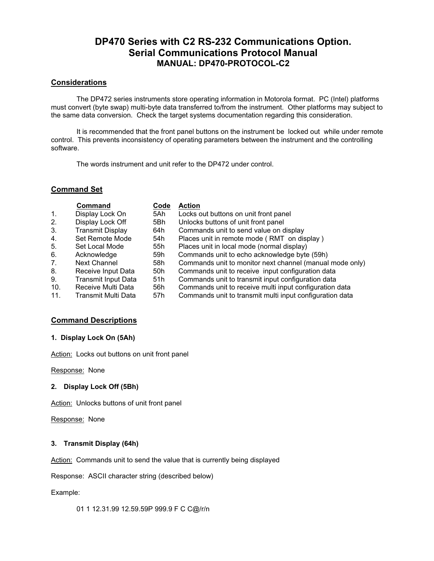# **DP470 Series with C2 RS-232 Communications Option. Serial Communications Protocol Manual MANUAL: DP470-PROTOCOL-C2**

# **Considerations**

The DP472 series instruments store operating information in Motorola format. PC (Intel) platforms must convert (byte swap) multi-byte data transferred to/from the instrument. Other platforms may subject to the same data conversion. Check the target systems documentation regarding this consideration.

It is recommended that the front panel buttons on the instrument be locked out while under remote control. This prevents inconsistency of operating parameters between the instrument and the controlling software.

The words instrument and unit refer to the DP472 under control.

# **Command Set**

|     | <b>Command</b>             | <u>Code</u> | <b>Action</b>                                            |
|-----|----------------------------|-------------|----------------------------------------------------------|
| 1.  | Display Lock On            | 5Ah         | Locks out buttons on unit front panel                    |
| 2.  | Display Lock Off           | 5Bh         | Unlocks buttons of unit front panel                      |
| 3.  | <b>Transmit Display</b>    | 64h         | Commands unit to send value on display                   |
| 4.  | Set Remote Mode            | 54h         | Places unit in remote mode (RMT on display)              |
| 5.  | Set Local Mode             | 55h         | Places unit in local mode (normal display)               |
| 6.  | Acknowledge                | 59h         | Commands unit to echo acknowledge byte (59h)             |
| 7.  | Next Channel               | 58h         | Commands unit to monitor next channel (manual mode only) |
| 8.  | Receive Input Data         | 50h         | Commands unit to receive input configuration data        |
| 9.  | <b>Transmit Input Data</b> | 51h         | Commands unit to transmit input configuration data       |
| 10. | Receive Multi Data         | 56h         | Commands unit to receive multi input configuration data  |
| 11. | Transmit Multi Data        | 57h         | Commands unit to transmit multi input configuration data |

# **Command Descriptions**

## **1. Display Lock On (5Ah)**

Action: Locks out buttons on unit front panel

Response: None

## **2. Display Lock Off (5Bh)**

Action: Unlocks buttons of unit front panel

Response: None

## **3. Transmit Display (64h)**

Action: Commands unit to send the value that is currently being displayed

Response: ASCII character string (described below)

Example:

01 1 12.31.99 12.59.59P 999.9 F C C@/r/n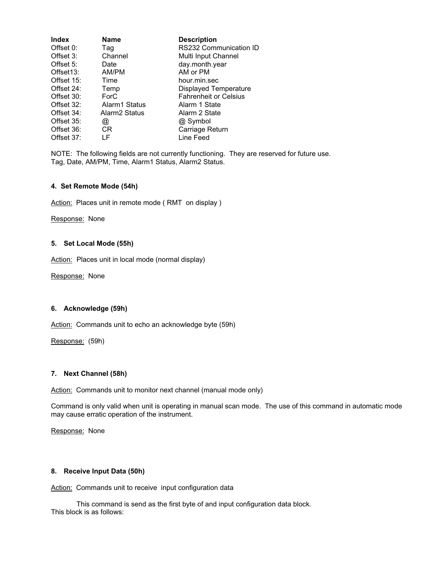| Index                  | <b>Name</b>               | <b>Description</b>           |
|------------------------|---------------------------|------------------------------|
| Offset 0:              | Taq                       | RS232 Communication ID       |
| Offset 3:              | Channel                   | Multi Input Channel          |
| Offset 5:              | Date                      | day.month.year               |
| Offset <sub>13</sub> : | AM/PM                     | AM or PM                     |
| Offset 15:             | Time                      | hour.min.sec                 |
| Offset 24:             | Temp                      | <b>Displayed Temperature</b> |
| Offset 30:             | ForC                      | <b>Fahrenheit or Celsius</b> |
| Offset 32:             | Alarm1 Status             | Alarm 1 State                |
| Offset 34:             | Alarm <sub>2</sub> Status | Alarm 2 State                |
| Offset 35:             | $^{(a)}$                  | @ Symbol                     |
| Offset 36:             | CR                        | Carriage Return              |
| Offset 37:             | LF                        | Line Feed                    |

NOTE: The following fields are not currently functioning. They are reserved for future use. Tag, Date, AM/PM, Time, Alarm1 Status, Alarm2 Status.

#### **4. Set Remote Mode (54h)**

Action: Places unit in remote mode (RMT on display)

Response: None

## **5. Set Local Mode (55h)**

Action: Places unit in local mode (normal display)

Response: None

## **6. Acknowledge (59h)**

Action: Commands unit to echo an acknowledge byte (59h)

Response: (59h)

#### **7. Next Channel (58h)**

Action: Commands unit to monitor next channel (manual mode only)

Command is only valid when unit is operating in manual scan mode. The use of this command in automatic mode may cause erratic operation of the instrument.

Response: None

#### **8. Receive Input Data (50h)**

Action: Commands unit to receive input configuration data

This command is send as the first byte of and input configuration data block. This block is as follows: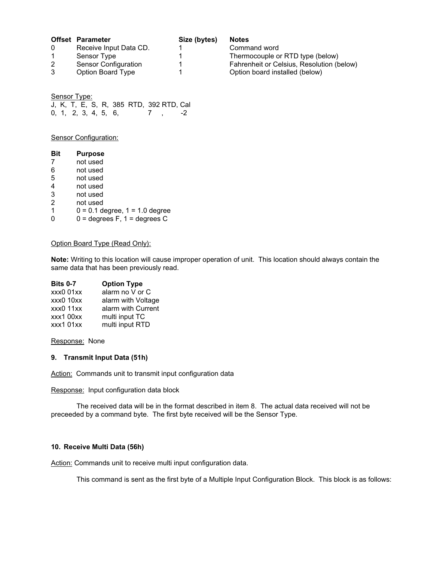|    | <b>Offset Parameter</b> | Size (bytes) | <b>Notes</b>                              |
|----|-------------------------|--------------|-------------------------------------------|
| 0  | Receive Input Data CD.  |              | Command word                              |
|    | Sensor Type             |              | Thermocouple or RTD type (below)          |
| 2  | Sensor Configuration    |              | Fahrenheit or Celsius, Resolution (below) |
| -3 | Option Board Type       |              | Option board installed (below)            |

| Sensor Type: |  |                      |                                         |  |  |
|--------------|--|----------------------|-----------------------------------------|--|--|
|              |  |                      | J, K, T, E, S, R, 385 RTD, 392 RTD, Cal |  |  |
|              |  | 0, 1, 2, 3, 4, 5, 6, | (1, 2)                                  |  |  |

**Sensor Configuration:** 

| Bit            | <b>Purpose</b>                     |
|----------------|------------------------------------|
| 7              | not used                           |
| 6              | not used                           |
| 5              | not used                           |
| $\overline{4}$ | not used                           |
| 3              | not used                           |
| 2              | not used                           |
| 1              | $0 = 0.1$ degree, $1 = 1.0$ degree |
|                | $0 =$ degrees F, 1 = degrees C     |
|                |                                    |

## Option Board Type (Read Only):

**Note:** Writing to this location will cause improper operation of unit. This location should always contain the same data that has been previously read.

| <b>Bits 0-7</b> | <b>Option Type</b> |
|-----------------|--------------------|
| xxx0 01xx       | alarm no V or C    |

| xxx0 10xx      | alarm with Voltage |
|----------------|--------------------|
| $xxx0$ 11 $xx$ | alarm with Current |
| xxx1 00xx      | multi input TC     |
| xxx101xx       | multi input RTD    |

Response: None

## **9. Transmit Input Data (51h)**

Action: Commands unit to transmit input configuration data

Response: Input configuration data block

The received data will be in the format described in item 8. The actual data received will not be preceeded by a command byte. The first byte received will be the Sensor Type.

## **10. Receive Multi Data (56h)**

Action: Commands unit to receive multi input configuration data.

This command is sent as the first byte of a Multiple Input Configuration Block. This block is as follows: